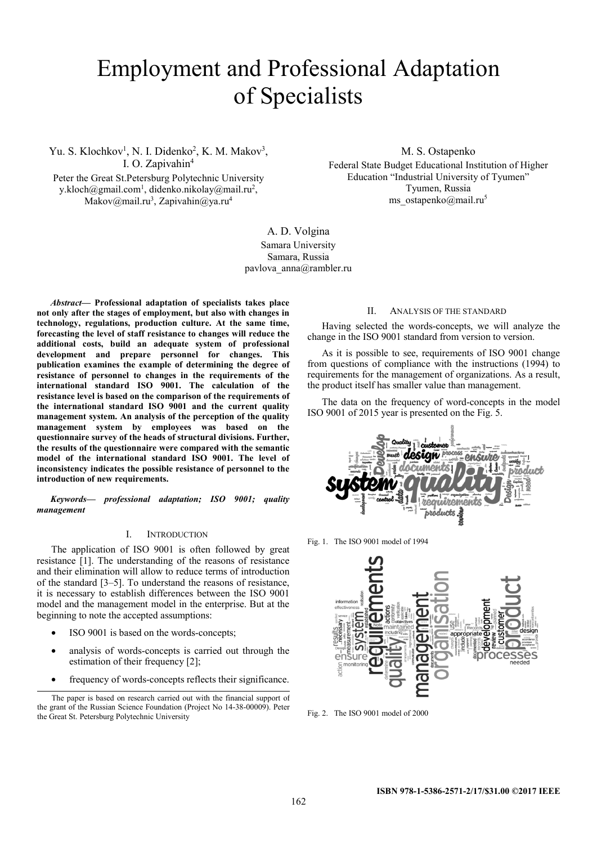# Employment and Professional Adaptation of Specialists

Yu. S. Klochkov<sup>1</sup>, N. I. Didenko<sup>2</sup>, K. M. Makov<sup>3</sup>, I. O. Zapivahin<sup>4</sup>

Peter the Great St.Petersburg Polytechnic University y.kloch@gmail.com<sup>1</sup>, didenko.nikolay@mail.ru<sup>2</sup>, Makov@mail.ru<sup>3</sup>, Zapivahin@ya.ru<sup>4</sup>

M. S. Ostapenko

Federal State Budget Educational Institution of Higher Education "Industrial University of Tyumen" Tyumen, Russia ms\_ostapenko@mail.ru<sup>5</sup>

A. D. Volgina Samara University Samara, Russia pavlova\_anna@rambler.ru

*Abstract***— Professional adaptation of specialists takes place not only after the stages of employment, but also with changes in technology, regulations, production culture. At the same time, forecasting the level of staff resistance to changes will reduce the additional costs, build an adequate system of professional development and prepare personnel for changes. This publication examines the example of determining the degree of resistance of personnel to changes in the requirements of the international standard ISO 9001. The calculation of the resistance level is based on the comparison of the requirements of the international standard ISO 9001 and the current quality management system. An analysis of the perception of the quality management system by employees was based on the questionnaire survey of the heads of structural divisions. Further, the results of the questionnaire were compared with the semantic model of the international standard ISO 9001. The level of inconsistency indicates the possible resistance of personnel to the introduction of new requirements.** 

*Keywords— professional adaptation; ISO 9001; quality management* 

# I. INTRODUCTION

The application of ISO 9001 is often followed by great resistance [1]. The understanding of the reasons of resistance and their elimination will allow to reduce terms of introduction of the standard [3–5]. To understand the reasons of resistance, it is necessary to establish differences between the ISO 9001 model and the management model in the enterprise. But at the beginning to note the accepted assumptions:

- ISO 9001 is based on the words-concepts;
- analysis of words-concepts is carried out through the estimation of their frequency [2];
- frequency of words-concepts reflects their significance.

### II. ANALYSIS OF THE STANDARD

Having selected the words-concepts, we will analyze the change in the ISO 9001 standard from version to version.

As it is possible to see, requirements of ISO 9001 change from questions of compliance with the instructions (1994) to requirements for the management of organizations. As a result, the product itself has smaller value than management.

The data on the frequency of word-concepts in the model ISO 9001 of 2015 year is presented on the Fig. 5.



Fig. 1. The ISO 9001 model of 1994



Fig. 2. The ISO 9001 model of 2000

The paper is based on research carried out with the financial support of the grant of the Russian Science Foundation (Project No 14-38-00009). Peter the Great St. Petersburg Polytechnic University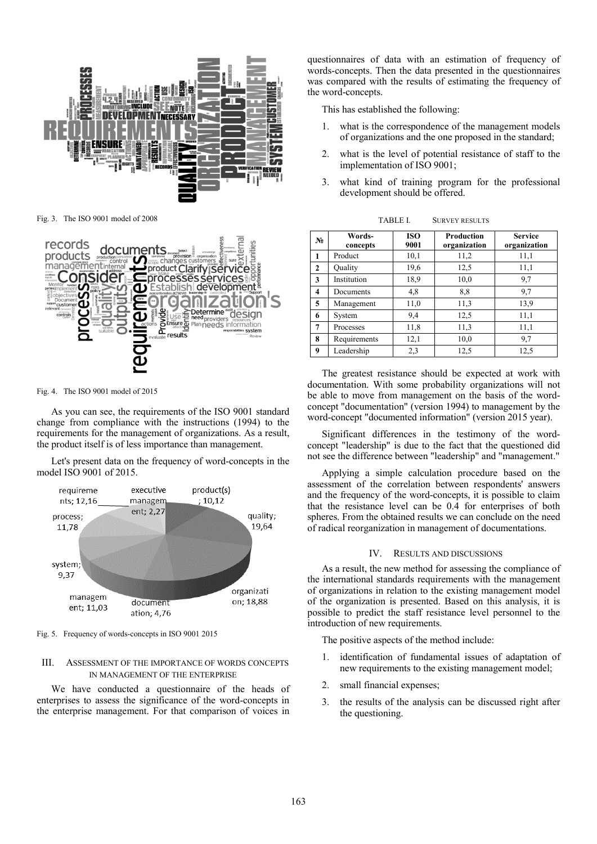

Fig. 3. The ISO 9001 model of 2008



Fig. 4. The ISO 9001 model of 2015

As you can see, the requirements of the ISO 9001 standard change from compliance with the instructions (1994) to the requirements for the management of organizations. As a result, the product itself is of less importance than management.

Let's present data on the frequency of word-concepts in the model ISO 9001 of 2015.



Fig. 5. Frequency of words-concepts in ISO 9001 2015

## III. ASSESSMENT OF THE IMPORTANCE OF WORDS CONCEPTS IN MANAGEMENT OF THE ENTERPRISE

We have conducted a questionnaire of the heads of enterprises to assess the significance of the word-concepts in the enterprise management. For that comparison of voices in

questionnaires of data with an estimation of frequency of words-concepts. Then the data presented in the questionnaires was compared with the results of estimating the frequency of the word-concepts.

This has established the following:

- 1. what is the correspondence of the management models of organizations and the one proposed in the standard;
- 2. what is the level of potential resistance of staff to the implementation of ISO 9001;
- 3. what kind of training program for the professional development should be offered.

| $N_2$        | Words-<br>concepts | <b>ISO</b><br>9001 | <b>Production</b><br>organization | <b>Service</b><br>organization |
|--------------|--------------------|--------------------|-----------------------------------|--------------------------------|
| 1            | Product            | 10,1               | 11,2                              | 11,1                           |
| $\mathbf{2}$ | Quality            | 19,6               | 12,5                              | 11,1                           |
| 3            | Institution        | 18.9               | 10,0                              | 9,7                            |
| 4            | Documents          | 4,8                | 8,8                               | 9,7                            |
| 5            | Management         | 11,0               | 11,3                              | 13.9                           |
| 6            | System             | 9,4                | 12,5                              | 11,1                           |
| 7            | Processes          | 11,8               | 11,3                              | 11,1                           |
| 8            | Requirements       | 12,1               | 10,0                              | 9,7                            |
| 9            | Leadership         | 2,3                | 12,5                              | 12,5                           |

TABLE I. SURVEY RESULTS

The greatest resistance should be expected at work with documentation. With some probability organizations will not be able to move from management on the basis of the wordconcept "documentation" (version 1994) to management by the word-concept "documented information" (version 2015 year).

Significant differences in the testimony of the wordconcept "leadership" is due to the fact that the questioned did not see the difference between "leadership" and "management."

Applying a simple calculation procedure based on the assessment of the correlation between respondents' answers and the frequency of the word-concepts, it is possible to claim that the resistance level can be 0.4 for enterprises of both spheres. From the obtained results we can conclude on the need of radical reorganization in management of documentations.

### IV. RESULTS AND DISCUSSIONS

As a result, the new method for assessing the compliance of the international standards requirements with the management of organizations in relation to the existing management model of the organization is presented. Based on this analysis, it is possible to predict the staff resistance level personnel to the introduction of new requirements.

The positive aspects of the method include:

- 1. identification of fundamental issues of adaptation of new requirements to the existing management model;
- 2. small financial expenses;
- 3. the results of the analysis can be discussed right after the questioning.